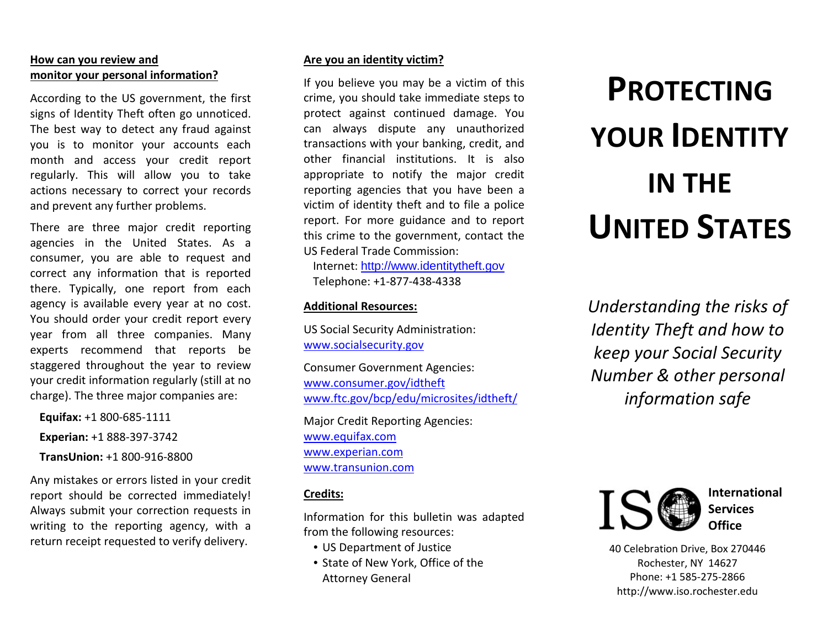# **How can you review and monitor your personal information?**

According to the US government, the first signs of Identity Theft often go unnoticed. The best way to detect any fraud against you is to monitor your accounts each month and access your credit report regularly. This will allow you to take actions necessary to correct your records and prevent any further problems.

There are three major credit reporting agencies in the United States. As a consumer, you are able to request and correct any information that is reported there. Typically, one report from each agency is available every year at no cost. You should order your credit report every year from all three companies. Many experts recommend that reports be staggered throughout the year to review your credit information regularly (still at no charge). The three major companies are:

**Equifax:** +1 800-685-1111 **Experian:** +1 888-397-3742 **TransUnion:** +1 800-916-8800

Any mistakes or errors listed in your credit report should be corrected immediately! Always submit your correction requests in writing to the reporting agency, with a return receipt requested to verify delivery.

## **Are you an identity victim?**

If you believe you may be a victim of this crime, you should take immediate steps to protect against continued damage. You can always dispute any unauthorized transactions with your banking, credit, and other financial institutions. It is also appropriate to notify the major credit reporting agencies that you have been a victim of identity theft and to file a police report. For more guidance and to report this crime to the government, contact the US Federal Trade Commission:

Internet: [http://www.identitytheft.gov](http://www.identitytheft.gov/) Telephone: +1-877-438-4338

## **Additional Resources:**

US Social Security Administration: [www.socialsecurity.gov](http://www.socialsecurity.gov/)

Consumer Government Agencies: [www.consumer.gov/idtheft](http://www.consumer.gov/idtheft) [www.ftc.gov/bcp/edu/microsites/idtheft/](http://www.ftc.gov/bcp/edu/microsites/idtheft/)

Major Credit Reporting Agencies: [www.equifax.com](http://www.equifax.com/) [www.experian.com](http://www.experian.com/) [www.transunion.com](http://www.transunion.com/)

# **Credits:**

Information for this bulletin was adapted from the following resources:

- US Department of Justice
- State of New York, Office of the Attorney General

# **PROTECTING YOUR IDENTITY IN THE UNITED STATES**

*Understanding the risks of Identity Theft and how to keep your Social Security Number & other personal information safe*



 **International Services Office**

40 Celebration Drive, Box 270446 Rochester, NY 14627 Phone: +1 585-275-2866 http://www.iso.rochester.edu